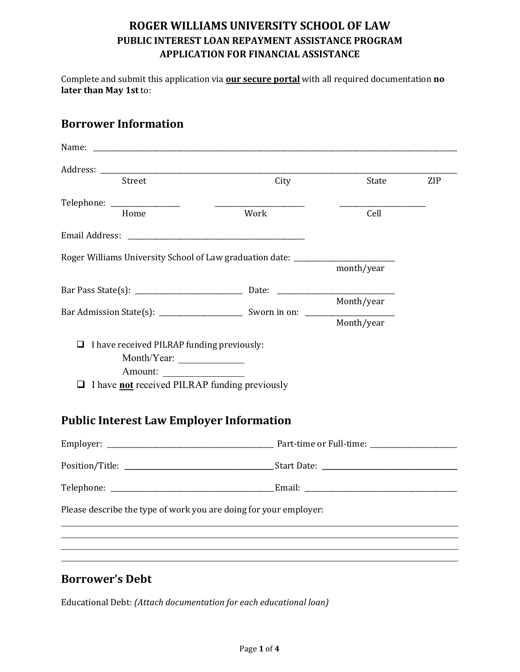Complete and submit this application via **our secure portal** with all required documentation **no later than May 1st** to:

## **Borrower Information**

| Street                                                                           | City | State      | ZIP |
|----------------------------------------------------------------------------------|------|------------|-----|
| Telephone: ________________                                                      |      |            |     |
| Home                                                                             | Work | Cell       |     |
|                                                                                  |      |            |     |
| Roger Williams University School of Law graduation date: _______________________ |      |            |     |
|                                                                                  |      | month/year |     |
|                                                                                  |      |            |     |
|                                                                                  |      | Month/year |     |
|                                                                                  |      | Month/year |     |
| I have received PILRAP funding previously:<br>□                                  |      |            |     |
| Month/Year:                                                                      |      |            |     |
| Amount:                                                                          |      |            |     |
| I have not received PILRAP funding previously                                    |      |            |     |
| <b>Public Interest Law Employer Information</b>                                  |      |            |     |
|                                                                                  |      |            |     |
|                                                                                  |      |            |     |
|                                                                                  |      |            |     |
| Please describe the type of work you are doing for your employer:                |      |            |     |
|                                                                                  |      |            |     |
|                                                                                  |      |            |     |
|                                                                                  |      |            |     |

# **Borrower's Debt**

Educational Debt: *(Attach documentation for each educational loan)*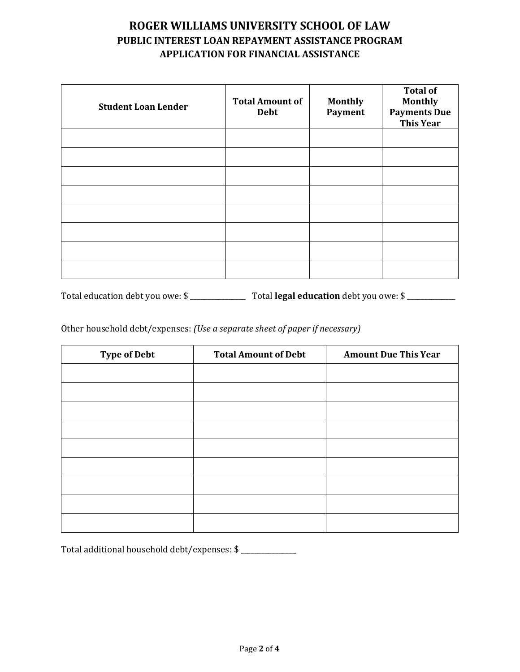| <b>Student Loan Lender</b> | <b>Total Amount of</b><br><b>Debt</b> | <b>Monthly</b><br>Payment | <b>Total of</b><br><b>Monthly</b><br><b>Payments Due</b><br><b>This Year</b> |
|----------------------------|---------------------------------------|---------------------------|------------------------------------------------------------------------------|
|                            |                                       |                           |                                                                              |
|                            |                                       |                           |                                                                              |
|                            |                                       |                           |                                                                              |
|                            |                                       |                           |                                                                              |
|                            |                                       |                           |                                                                              |
|                            |                                       |                           |                                                                              |
|                            |                                       |                           |                                                                              |
|                            |                                       |                           |                                                                              |

Total education debt you owe: \$ \_\_\_\_\_\_\_\_\_\_\_\_\_\_\_\_ Total **legal education** debt you owe: \$ \_\_\_\_\_\_\_\_\_\_\_\_\_\_

Other household debt/expenses: *(Use a separate sheet of paper if necessary)*

| <b>Type of Debt</b> | <b>Total Amount of Debt</b> | <b>Amount Due This Year</b> |
|---------------------|-----------------------------|-----------------------------|
|                     |                             |                             |
|                     |                             |                             |
|                     |                             |                             |
|                     |                             |                             |
|                     |                             |                             |
|                     |                             |                             |
|                     |                             |                             |
|                     |                             |                             |
|                     |                             |                             |

Total additional household debt/expenses: \$ \_\_\_\_\_\_\_\_\_\_\_\_\_\_\_\_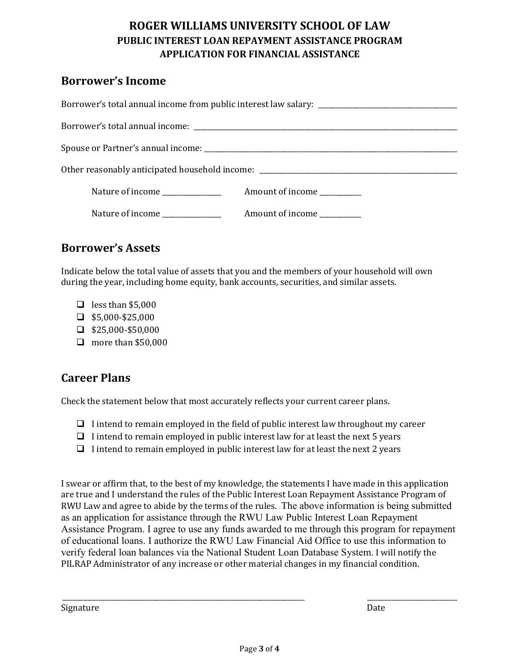#### **Borrower's Income**

| Other reasonably anticipated household income: __________________________________ |                           |  |  |  |
|-----------------------------------------------------------------------------------|---------------------------|--|--|--|
| Nature of income _______________                                                  | Amount of income          |  |  |  |
| Nature of income _____________                                                    | Amount of income ________ |  |  |  |

## **Borrower's Assets**

Indicate below the total value of assets that you and the members of your household will own during the year, including home equity, bank accounts, securities, and similar assets.

- $\Box$  less than \$5,000
- $\Box$  \$5,000-\$25,000
- $\Box$  \$25,000-\$50,000
- $\Box$  more than \$50,000

#### **Career Plans**

Check the statement below that most accurately reflects your current career plans.

- $\Box$  I intend to remain employed in the field of public interest law throughout my career
- $\Box$  I intend to remain employed in public interest law for at least the next 5 years
- $\Box$  I intend to remain employed in public interest law for at least the next 2 years

I swear or affirm that, to the best of my knowledge, the statements I have made in this application are true and I understand the rules of the Public Interest Loan Repayment Assistance Program of RWU Law and agree to abide by the terms of the rules. The above information is being submitted as an application for assistance through the RWU Law Public Interest Loan Repayment Assistance Program. I agree to use any funds awarded to me through this program for repayment of educational loans. I authorize the RWU Law Financial Aid Office to use this information to verify federal loan balances via the National Student Loan Database System. I will notify the PILRAP Administrator of any increase or other material changes in my financial condition.

Signature Date

\_\_\_\_\_\_\_\_\_\_\_\_\_\_\_\_\_\_\_\_\_\_\_\_\_\_\_\_\_\_\_\_\_\_\_\_\_\_\_\_\_\_\_\_\_\_\_\_\_\_\_\_\_\_\_\_\_\_\_\_\_\_\_\_\_\_\_\_\_\_ \_\_\_\_\_\_\_\_\_\_\_\_\_\_\_\_\_\_\_\_\_\_\_\_\_\_